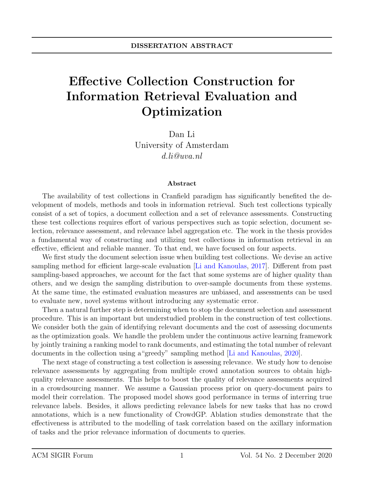## Effective Collection Construction for Information Retrieval Evaluation and Optimization

Dan Li University of Amsterdam d.li@uva.nl

## Abstract

The availability of test collections in Cranfield paradigm has significantly benefited the development of models, methods and tools in information retrieval. Such test collections typically consist of a set of topics, a document collection and a set of relevance assessments. Constructing these test collections requires effort of various perspectives such as topic selection, document selection, relevance assessment, and relevance label aggregation etc. The work in the thesis provides a fundamental way of constructing and utilizing test collections in information retrieval in an effective, efficient and reliable manner. To that end, we have focused on four aspects.

We first study the document selection issue when building test collections. We devise an active sampling method for efficient large-scale evaluation [\[Li and Kanoulas,](#page-1-0) [2017\]](#page-1-0). Different from past sampling-based approaches, we account for the fact that some systems are of higher quality than others, and we design the sampling distribution to over-sample documents from these systems. At the same time, the estimated evaluation measures are unbiased, and assessments can be used to evaluate new, novel systems without introducing any systematic error.

Then a natural further step is determining when to stop the document selection and assessment procedure. This is an important but understudied problem in the construction of test collections. We consider both the gain of identifying relevant documents and the cost of assessing documents as the optimization goals. We handle the problem under the continuous active learning framework by jointly training a ranking model to rank documents, and estimating the total number of relevant documents in the collection using a"greedy" sampling method [\[Li and Kanoulas,](#page-1-1) [2020\]](#page-1-1).

The next stage of constructing a test collection is assessing relevance. We study how to denoise relevance assessments by aggregating from multiple crowd annotation sources to obtain highquality relevance assessments. This helps to boost the quality of relevance assessments acquired in a crowdsourcing manner. We assume a Gaussian process prior on query-document pairs to model their correlation. The proposed model shows good performance in terms of interring true relevance labels. Besides, it allows predicting relevance labels for new tasks that has no crowd annotations, which is a new functionality of CrowdGP. Ablation studies demonstrate that the effectiveness is attributed to the modelling of task correlation based on the axillary information of tasks and the prior relevance information of documents to queries.